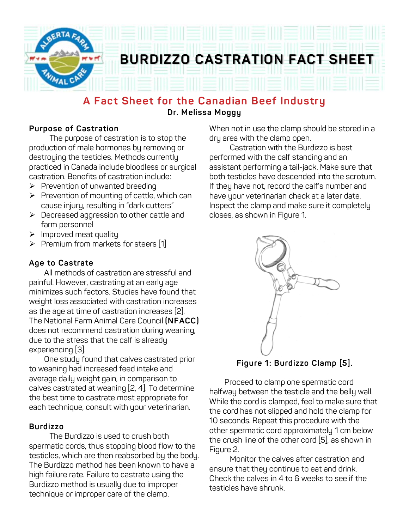

## **A Fact Sheet for the Canadian Beef Industry Dr. Melissa Moggy**

## **Purpose of Castration**

The purpose of castration is to stop the production of male hormones by removing or destroying the testicles. Methods currently practiced in Canada include bloodless or surgical castration. Benefits of castration include:

- $\triangleright$  Prevention of unwanted breeding
- $\triangleright$  Prevention of mounting of cattle, which can cause injury, resulting in "dark cutters"
- Ø Decreased aggression to other cattle and farm personnel
- $\triangleright$  Improved meat quality
- Ø Premium from markets for steers [1]

### **Age to Castrate**

 All methods of castration are stressful and painful. However, castrating at an early age minimizes such factors. Studies have found that weight loss associated with castration increases as the age at time of castration increases [2]. The National Farm Animal Care Council **(NFACC)**  does not recommend castration during weaning, due to the stress that the calf is already experiencing [3].

 One study found that calves castrated prior to weaning had increased feed intake and average daily weight gain, in comparison to calves castrated at weaning [2, 4]. To determine the best time to castrate most appropriate for each technique, consult with your veterinarian.

## **Burdizzo**

The Burdizzo is used to crush both spermatic cords, thus stopping blood flow to the testicles, which are then reabsorbed by the body. The Burdizzo method has been known to have a high failure rate. Failure to castrate using the Burdizzo method is usually due to improper technique or improper care of the clamp.

When not in use the clamp should be stored in a dry area with the clamp open.

Castration with the Burdizzo is best performed with the calf standing and an assistant performing a tail-jack. Make sure that both testicles have descended into the scrotum. If they have not, record the calf's number and have your veterinarian check at a later date. Inspect the clamp and make sure it completely closes, as shown in Figure 1.



**Figure 1: Burdizzo Clamp [5].**

 Proceed to clamp one spermatic cord halfway between the testicle and the belly wall. While the cord is clamped, feel to make sure that the cord has not slipped and hold the clamp for 10 seconds. Repeat this procedure with the other spermatic cord approximately 1 cm below the crush line of the other cord [5], as shown in Figure 2.

Monitor the calves after castration and ensure that they continue to eat and drink. Check the calves in 4 to 6 weeks to see if the testicles have shrunk.